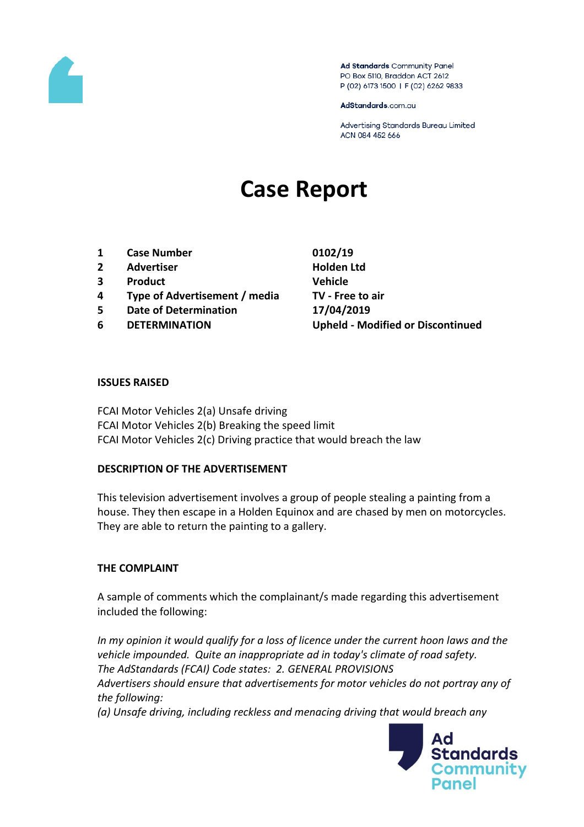

Ad Standards Community Panel PO Box 5110, Braddon ACT 2612 P (02) 6173 1500 | F (02) 6262 9833

AdStandards.com.au

Advertising Standards Bureau Limited ACN 084 452 666

# **Case Report**

- **1 Case Number 0102/19**
- **2 Advertiser Holden Ltd**
- **3 Product Vehicle**
- **4 Type of Advertisement / media TV - Free to air**
- **5 Date of Determination 17/04/2019**
- 

**6 DETERMINATION Upheld - Modified or Discontinued**

#### **ISSUES RAISED**

FCAI Motor Vehicles 2(a) Unsafe driving FCAI Motor Vehicles 2(b) Breaking the speed limit FCAI Motor Vehicles 2(c) Driving practice that would breach the law

#### **DESCRIPTION OF THE ADVERTISEMENT**

This television advertisement involves a group of people stealing a painting from a house. They then escape in a Holden Equinox and are chased by men on motorcycles. They are able to return the painting to a gallery.

#### **THE COMPLAINT**

A sample of comments which the complainant/s made regarding this advertisement included the following:

*In my opinion it would qualify for a loss of licence under the current hoon laws and the vehicle impounded. Quite an inappropriate ad in today's climate of road safety. The AdStandards (FCAI) Code states: 2. GENERAL PROVISIONS Advertisers should ensure that advertisements for motor vehicles do not portray any of the following:*

*(a) Unsafe driving, including reckless and menacing driving that would breach any* 

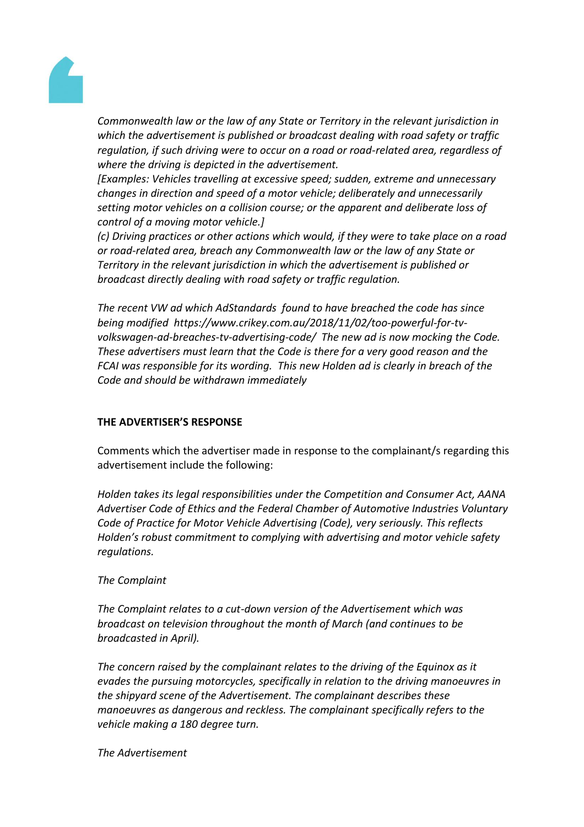

*Commonwealth law or the law of any State or Territory in the relevant jurisdiction in which the advertisement is published or broadcast dealing with road safety or traffic regulation, if such driving were to occur on a road or road-related area, regardless of where the driving is depicted in the advertisement.*

*[Examples: Vehicles travelling at excessive speed; sudden, extreme and unnecessary changes in direction and speed of a motor vehicle; deliberately and unnecessarily setting motor vehicles on a collision course; or the apparent and deliberate loss of control of a moving motor vehicle.]*

*(c) Driving practices or other actions which would, if they were to take place on a road or road-related area, breach any Commonwealth law or the law of any State or Territory in the relevant jurisdiction in which the advertisement is published or broadcast directly dealing with road safety or traffic regulation.*

*The recent VW ad which AdStandards found to have breached the code has since being modified https://www.crikey.com.au/2018/11/02/too-powerful-for-tvvolkswagen-ad-breaches-tv-advertising-code/ The new ad is now mocking the Code. These advertisers must learn that the Code is there for a very good reason and the FCAI was responsible for its wording. This new Holden ad is clearly in breach of the Code and should be withdrawn immediately*

## **THE ADVERTISER'S RESPONSE**

Comments which the advertiser made in response to the complainant/s regarding this advertisement include the following:

*Holden takes its legal responsibilities under the Competition and Consumer Act, AANA Advertiser Code of Ethics and the Federal Chamber of Automotive Industries Voluntary Code of Practice for Motor Vehicle Advertising (Code), very seriously. This reflects Holden's robust commitment to complying with advertising and motor vehicle safety regulations.*

## *The Complaint*

*The Complaint relates to a cut-down version of the Advertisement which was broadcast on television throughout the month of March (and continues to be broadcasted in April).*

*The concern raised by the complainant relates to the driving of the Equinox as it evades the pursuing motorcycles, specifically in relation to the driving manoeuvres in the shipyard scene of the Advertisement. The complainant describes these manoeuvres as dangerous and reckless. The complainant specifically refers to the vehicle making a 180 degree turn.* 

*The Advertisement*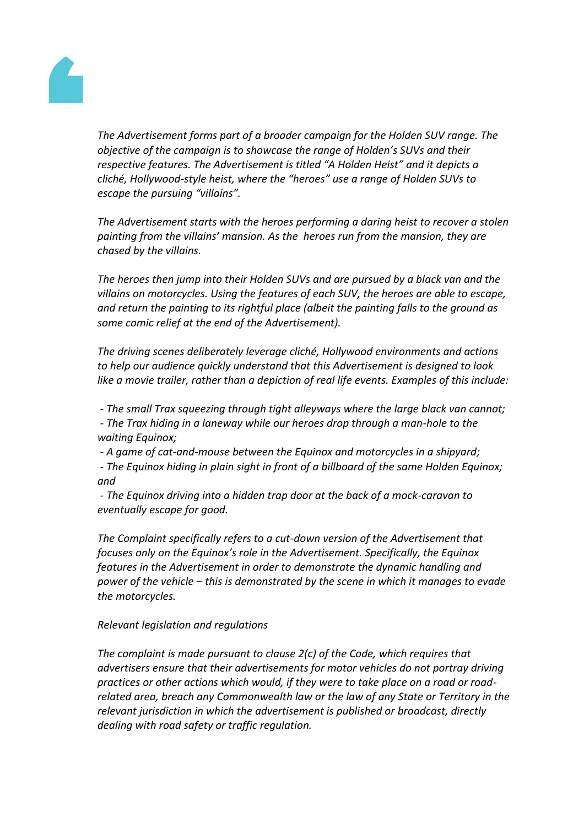

*The Advertisement forms part of a broader campaign for the Holden SUV range. The objective of the campaign is to showcase the range of Holden's SUVs and their respective features. The Advertisement is titled "A Holden Heist" and it depicts a cliché, Hollywood-style heist, where the "heroes" use a range of Holden SUVs to escape the pursuing "villains".*

*The Advertisement starts with the heroes performing a daring heist to recover a stolen painting from the villains' mansion. As the heroes run from the mansion, they are chased by the villains.*

*The heroes then jump into their Holden SUVs and are pursued by a black van and the villains on motorcycles. Using the features of each SUV, the heroes are able to escape, and return the painting to its rightful place (albeit the painting falls to the ground as some comic relief at the end of the Advertisement).*

*The driving scenes deliberately leverage cliché, Hollywood environments and actions to help our audience quickly understand that this Advertisement is designed to look like a movie trailer, rather than a depiction of real life events. Examples of this include:*

*- The small Trax squeezing through tight alleyways where the large black van cannot; - The Trax hiding in a laneway while our heroes drop through a man-hole to the waiting Equinox;*

*- A game of cat-and-mouse between the Equinox and motorcycles in a shipyard; - The Equinox hiding in plain sight in front of a billboard of the same Holden Equinox; and*

*- The Equinox driving into a hidden trap door at the back of a mock-caravan to eventually escape for good.*

*The Complaint specifically refers to a cut-down version of the Advertisement that focuses only on the Equinox's role in the Advertisement. Specifically, the Equinox features in the Advertisement in order to demonstrate the dynamic handling and power of the vehicle – this is demonstrated by the scene in which it manages to evade the motorcycles.*

# *Relevant legislation and regulations*

*The complaint is made pursuant to clause 2(c) of the Code, which requires that advertisers ensure that their advertisements for motor vehicles do not portray driving practices or other actions which would, if they were to take place on a road or roadrelated area, breach any Commonwealth law or the law of any State or Territory in the relevant jurisdiction in which the advertisement is published or broadcast, directly dealing with road safety or traffic regulation.*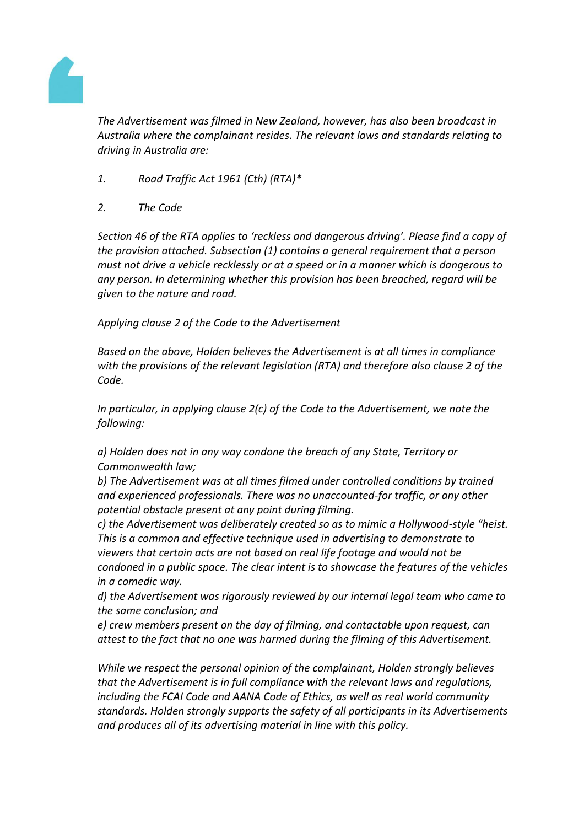

*The Advertisement was filmed in New Zealand, however, has also been broadcast in Australia where the complainant resides. The relevant laws and standards relating to driving in Australia are:*

- *1. Road Traffic Act 1961 (Cth) (RTA)\**
- *2. The Code*

*Section 46 of the RTA applies to 'reckless and dangerous driving'. Please find a copy of the provision attached. Subsection (1) contains a general requirement that a person must not drive a vehicle recklessly or at a speed or in a manner which is dangerous to any person. In determining whether this provision has been breached, regard will be given to the nature and road.*

*Applying clause 2 of the Code to the Advertisement*

*Based on the above, Holden believes the Advertisement is at all times in compliance with the provisions of the relevant legislation (RTA) and therefore also clause 2 of the Code.*

*In particular, in applying clause 2(c) of the Code to the Advertisement, we note the following:*

*a) Holden does not in any way condone the breach of any State, Territory or Commonwealth law;*

*b) The Advertisement was at all times filmed under controlled conditions by trained and experienced professionals. There was no unaccounted-for traffic, or any other potential obstacle present at any point during filming.*

*c) the Advertisement was deliberately created so as to mimic a Hollywood-style "heist. This is a common and effective technique used in advertising to demonstrate to viewers that certain acts are not based on real life footage and would not be condoned in a public space. The clear intent is to showcase the features of the vehicles in a comedic way.*

*d) the Advertisement was rigorously reviewed by our internal legal team who came to the same conclusion; and*

*e) crew members present on the day of filming, and contactable upon request, can attest to the fact that no one was harmed during the filming of this Advertisement.*

*While we respect the personal opinion of the complainant, Holden strongly believes that the Advertisement is in full compliance with the relevant laws and regulations, including the FCAI Code and AANA Code of Ethics, as well as real world community standards. Holden strongly supports the safety of all participants in its Advertisements and produces all of its advertising material in line with this policy.*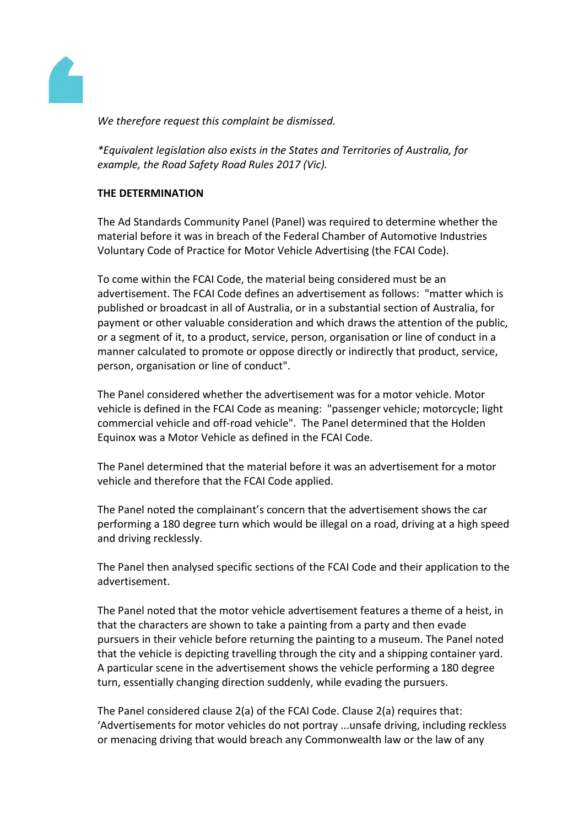

*We therefore request this complaint be dismissed.*

*\*Equivalent legislation also exists in the States and Territories of Australia, for example, the Road Safety Road Rules 2017 (Vic).* 

## **THE DETERMINATION**

The Ad Standards Community Panel (Panel) was required to determine whether the material before it was in breach of the Federal Chamber of Automotive Industries Voluntary Code of Practice for Motor Vehicle Advertising (the FCAI Code).

To come within the FCAI Code, the material being considered must be an advertisement. The FCAI Code defines an advertisement as follows: "matter which is published or broadcast in all of Australia, or in a substantial section of Australia, for payment or other valuable consideration and which draws the attention of the public, or a segment of it, to a product, service, person, organisation or line of conduct in a manner calculated to promote or oppose directly or indirectly that product, service, person, organisation or line of conduct".

The Panel considered whether the advertisement was for a motor vehicle. Motor vehicle is defined in the FCAI Code as meaning: "passenger vehicle; motorcycle; light commercial vehicle and off-road vehicle". The Panel determined that the Holden Equinox was a Motor Vehicle as defined in the FCAI Code.

The Panel determined that the material before it was an advertisement for a motor vehicle and therefore that the FCAI Code applied.

The Panel noted the complainant's concern that the advertisement shows the car performing a 180 degree turn which would be illegal on a road, driving at a high speed and driving recklessly.

The Panel then analysed specific sections of the FCAI Code and their application to the advertisement.

The Panel noted that the motor vehicle advertisement features a theme of a heist, in that the characters are shown to take a painting from a party and then evade pursuers in their vehicle before returning the painting to a museum. The Panel noted that the vehicle is depicting travelling through the city and a shipping container yard. A particular scene in the advertisement shows the vehicle performing a 180 degree turn, essentially changing direction suddenly, while evading the pursuers.

The Panel considered clause 2(a) of the FCAI Code. Clause 2(a) requires that: 'Advertisements for motor vehicles do not portray ...unsafe driving, including reckless or menacing driving that would breach any Commonwealth law or the law of any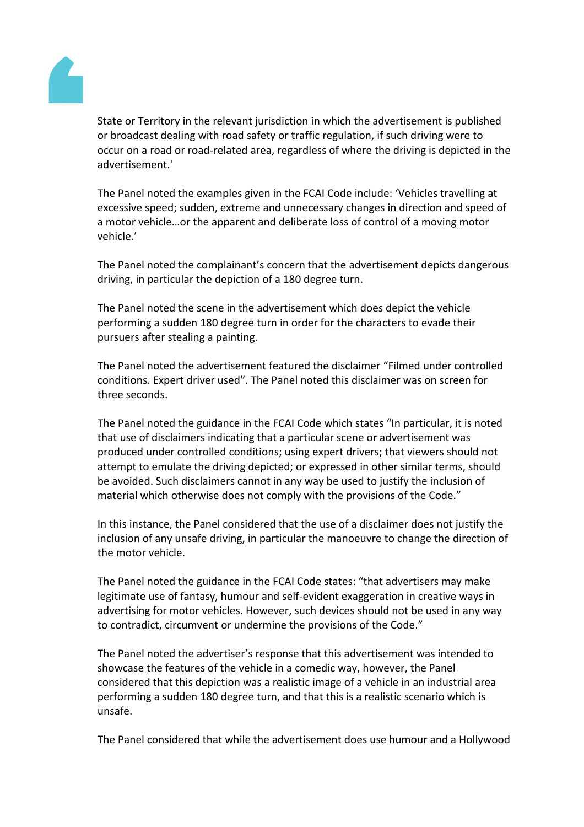

State or Territory in the relevant jurisdiction in which the advertisement is published or broadcast dealing with road safety or traffic regulation, if such driving were to occur on a road or road-related area, regardless of where the driving is depicted in the advertisement.'

The Panel noted the examples given in the FCAI Code include: 'Vehicles travelling at excessive speed; sudden, extreme and unnecessary changes in direction and speed of a motor vehicle…or the apparent and deliberate loss of control of a moving motor vehicle.'

The Panel noted the complainant's concern that the advertisement depicts dangerous driving, in particular the depiction of a 180 degree turn.

The Panel noted the scene in the advertisement which does depict the vehicle performing a sudden 180 degree turn in order for the characters to evade their pursuers after stealing a painting.

The Panel noted the advertisement featured the disclaimer "Filmed under controlled conditions. Expert driver used". The Panel noted this disclaimer was on screen for three seconds.

The Panel noted the guidance in the FCAI Code which states "In particular, it is noted that use of disclaimers indicating that a particular scene or advertisement was produced under controlled conditions; using expert drivers; that viewers should not attempt to emulate the driving depicted; or expressed in other similar terms, should be avoided. Such disclaimers cannot in any way be used to justify the inclusion of material which otherwise does not comply with the provisions of the Code."

In this instance, the Panel considered that the use of a disclaimer does not justify the inclusion of any unsafe driving, in particular the manoeuvre to change the direction of the motor vehicle.

The Panel noted the guidance in the FCAI Code states: "that advertisers may make legitimate use of fantasy, humour and self-evident exaggeration in creative ways in advertising for motor vehicles. However, such devices should not be used in any way to contradict, circumvent or undermine the provisions of the Code."

The Panel noted the advertiser's response that this advertisement was intended to showcase the features of the vehicle in a comedic way, however, the Panel considered that this depiction was a realistic image of a vehicle in an industrial area performing a sudden 180 degree turn, and that this is a realistic scenario which is unsafe.

The Panel considered that while the advertisement does use humour and a Hollywood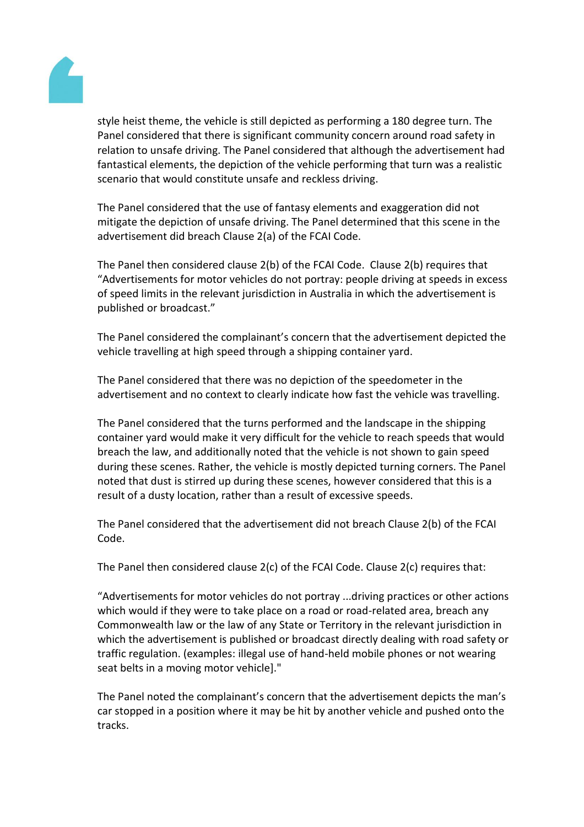

style heist theme, the vehicle is still depicted as performing a 180 degree turn. The Panel considered that there is significant community concern around road safety in relation to unsafe driving. The Panel considered that although the advertisement had fantastical elements, the depiction of the vehicle performing that turn was a realistic scenario that would constitute unsafe and reckless driving.

The Panel considered that the use of fantasy elements and exaggeration did not mitigate the depiction of unsafe driving. The Panel determined that this scene in the advertisement did breach Clause 2(a) of the FCAI Code.

The Panel then considered clause 2(b) of the FCAI Code. Clause 2(b) requires that "Advertisements for motor vehicles do not portray: people driving at speeds in excess of speed limits in the relevant jurisdiction in Australia in which the advertisement is published or broadcast."

The Panel considered the complainant's concern that the advertisement depicted the vehicle travelling at high speed through a shipping container yard.

The Panel considered that there was no depiction of the speedometer in the advertisement and no context to clearly indicate how fast the vehicle was travelling.

The Panel considered that the turns performed and the landscape in the shipping container yard would make it very difficult for the vehicle to reach speeds that would breach the law, and additionally noted that the vehicle is not shown to gain speed during these scenes. Rather, the vehicle is mostly depicted turning corners. The Panel noted that dust is stirred up during these scenes, however considered that this is a result of a dusty location, rather than a result of excessive speeds.

The Panel considered that the advertisement did not breach Clause 2(b) of the FCAI Code.

The Panel then considered clause 2(c) of the FCAI Code. Clause 2(c) requires that:

"Advertisements for motor vehicles do not portray ...driving practices or other actions which would if they were to take place on a road or road-related area, breach any Commonwealth law or the law of any State or Territory in the relevant jurisdiction in which the advertisement is published or broadcast directly dealing with road safety or traffic regulation. (examples: illegal use of hand-held mobile phones or not wearing seat belts in a moving motor vehicle]."

The Panel noted the complainant's concern that the advertisement depicts the man's car stopped in a position where it may be hit by another vehicle and pushed onto the tracks.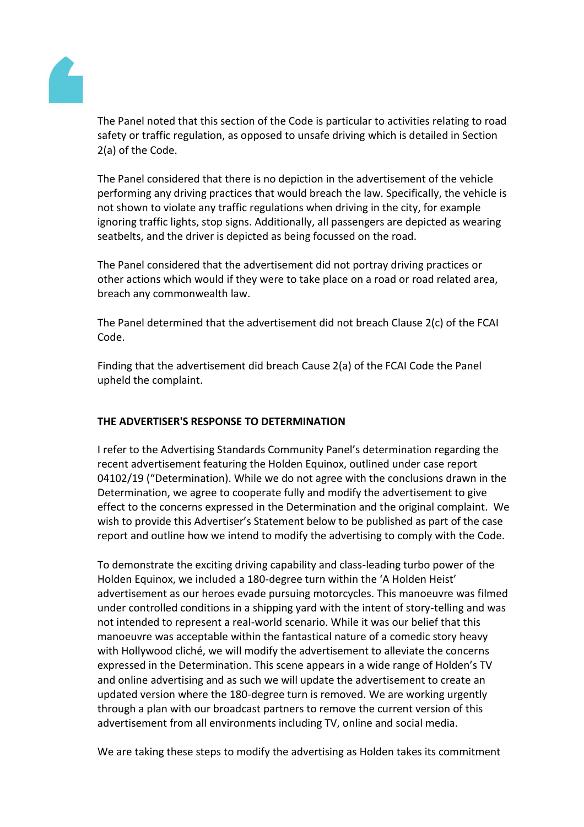

The Panel noted that this section of the Code is particular to activities relating to road safety or traffic regulation, as opposed to unsafe driving which is detailed in Section 2(a) of the Code.

The Panel considered that there is no depiction in the advertisement of the vehicle performing any driving practices that would breach the law. Specifically, the vehicle is not shown to violate any traffic regulations when driving in the city, for example ignoring traffic lights, stop signs. Additionally, all passengers are depicted as wearing seatbelts, and the driver is depicted as being focussed on the road.

The Panel considered that the advertisement did not portray driving practices or other actions which would if they were to take place on a road or road related area, breach any commonwealth law.

The Panel determined that the advertisement did not breach Clause 2(c) of the FCAI Code.

Finding that the advertisement did breach Cause 2(a) of the FCAI Code the Panel upheld the complaint.

# **THE ADVERTISER'S RESPONSE TO DETERMINATION**

I refer to the Advertising Standards Community Panel's determination regarding the recent advertisement featuring the Holden Equinox, outlined under case report 04102/19 ("Determination). While we do not agree with the conclusions drawn in the Determination, we agree to cooperate fully and modify the advertisement to give effect to the concerns expressed in the Determination and the original complaint. We wish to provide this Advertiser's Statement below to be published as part of the case report and outline how we intend to modify the advertising to comply with the Code.

To demonstrate the exciting driving capability and class-leading turbo power of the Holden Equinox, we included a 180-degree turn within the 'A Holden Heist' advertisement as our heroes evade pursuing motorcycles. This manoeuvre was filmed under controlled conditions in a shipping yard with the intent of story-telling and was not intended to represent a real-world scenario. While it was our belief that this manoeuvre was acceptable within the fantastical nature of a comedic story heavy with Hollywood cliché, we will modify the advertisement to alleviate the concerns expressed in the Determination. This scene appears in a wide range of Holden's TV and online advertising and as such we will update the advertisement to create an updated version where the 180-degree turn is removed. We are working urgently through a plan with our broadcast partners to remove the current version of this advertisement from all environments including TV, online and social media.

We are taking these steps to modify the advertising as Holden takes its commitment